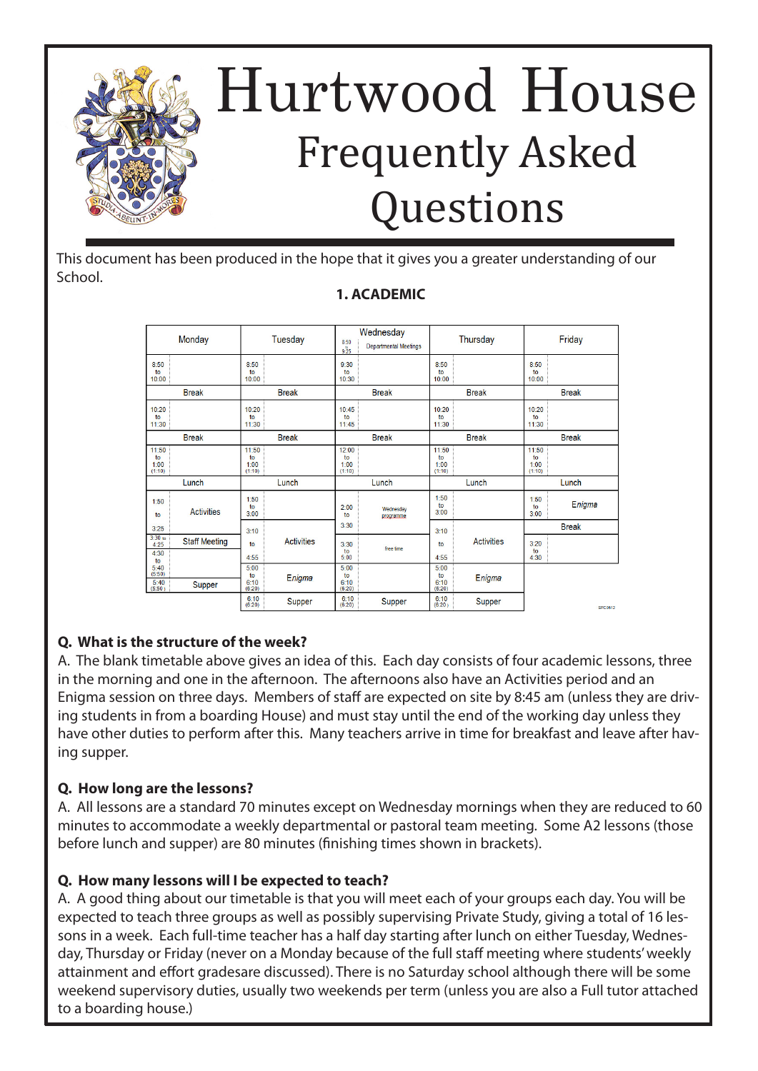

This document has been produced in the hope that it gives you a greater understanding of our School.

### **1. ACADEMIC**

| Monday                                    | Tuesday                            | Wednesday<br>8:50<br><b>Departmental Meetings</b><br>9.25 | Thursday                           | Friday                        |
|-------------------------------------------|------------------------------------|-----------------------------------------------------------|------------------------------------|-------------------------------|
| 8:50<br>to<br>10:00                       | 8:50<br>to<br>10:00                | 9:30<br>to<br>10:30                                       | 8:50<br>to<br>10:00                | 8:50<br>to<br>10:00           |
| <b>Break</b>                              | <b>Break</b>                       | <b>Break</b>                                              | <b>Break</b>                       | <b>Break</b>                  |
| 10:20<br>to<br>11:30                      | 10:20<br>to<br>11:30               | 10:45<br>to<br>11:45                                      | 10:20<br>f <sub>O</sub><br>11:30   | 10:20<br>to<br>11:30          |
| <b>Break</b>                              | <b>Break</b>                       | <b>Break</b>                                              | <b>Break</b>                       | <b>Break</b>                  |
| 11:50<br>to<br>1:00<br>(1:10)             | 11:50<br>to<br>1:00<br>(1:10)      | 12:00<br>to<br>1:00<br>(1:10)                             | 11:50<br>to<br>1:00<br>(1:10)      | 11:50<br>to<br>1:00<br>(1:10) |
| Lunch                                     | Lunch                              | Lunch                                                     | Lunch                              | Lunch                         |
| 1:50<br><b>Activities</b><br>to           | 1:50<br>to<br>3:00                 | 2:00<br>Wednesday<br>to<br>programme                      | 1:50<br>to<br>3:00                 | 1:50<br>Enigma<br>to<br>3:00  |
| 3:25                                      | 3:10                               | 3:30                                                      | 3:10                               | <b>Break</b>                  |
| $3:30$ to<br><b>Staff Meeting</b><br>4:25 | <b>Activities</b><br>to            | 3:30<br>free time<br>to                                   | <b>Activities</b><br>to            | 3:20<br>to                    |
| 4:30<br>to                                | 4:55                               | 5:00                                                      | 4:55                               | 4:30                          |
| 5:40<br>(5:50)<br>5:40<br>Supper          | 5:00<br>to<br>Enigma<br>6:10       | 5:00<br>to<br>6:10                                        | 5:00<br>to<br>Enigma<br>6:10       |                               |
| (5:50)                                    | (6:20)<br>6:10<br>Supper<br>(6:20) | (6:20)<br>6:10<br>Supper<br>(6:20)                        | (6:20)<br>6:10<br>Supper<br>(6:20) | <b>SPC0512</b>                |

### **Q. What is the structure of the week?**

A. The blank timetable above gives an idea of this. Each day consists of four academic lessons, three in the morning and one in the afternoon. The afternoons also have an Activities period and an Enigma session on three days. Members of staff are expected on site by 8:45 am (unless they are driving students in from a boarding House) and must stay until the end of the working day unless they have other duties to perform after this. Many teachers arrive in time for breakfast and leave after having supper.

#### **Q. How long are the lessons?**

A. All lessons are a standard 70 minutes except on Wednesday mornings when they are reduced to 60 minutes to accommodate a weekly departmental or pastoral team meeting. Some A2 lessons (those before lunch and supper) are 80 minutes (finishing times shown in brackets).

### **Q. How many lessons will I be expected to teach?**

A. A good thing about our timetable is that you will meet each of your groups each day. You will be expected to teach three groups as well as possibly supervising Private Study, giving a total of 16 lessons in a week. Each full-time teacher has a half day starting after lunch on either Tuesday, Wednesday, Thursday or Friday (never on a Monday because of the full staff meeting where students' weekly attainment and effort gradesare discussed). There is no Saturday school although there will be some weekend supervisory duties, usually two weekends per term (unless you are also a Full tutor attached to a boarding house.)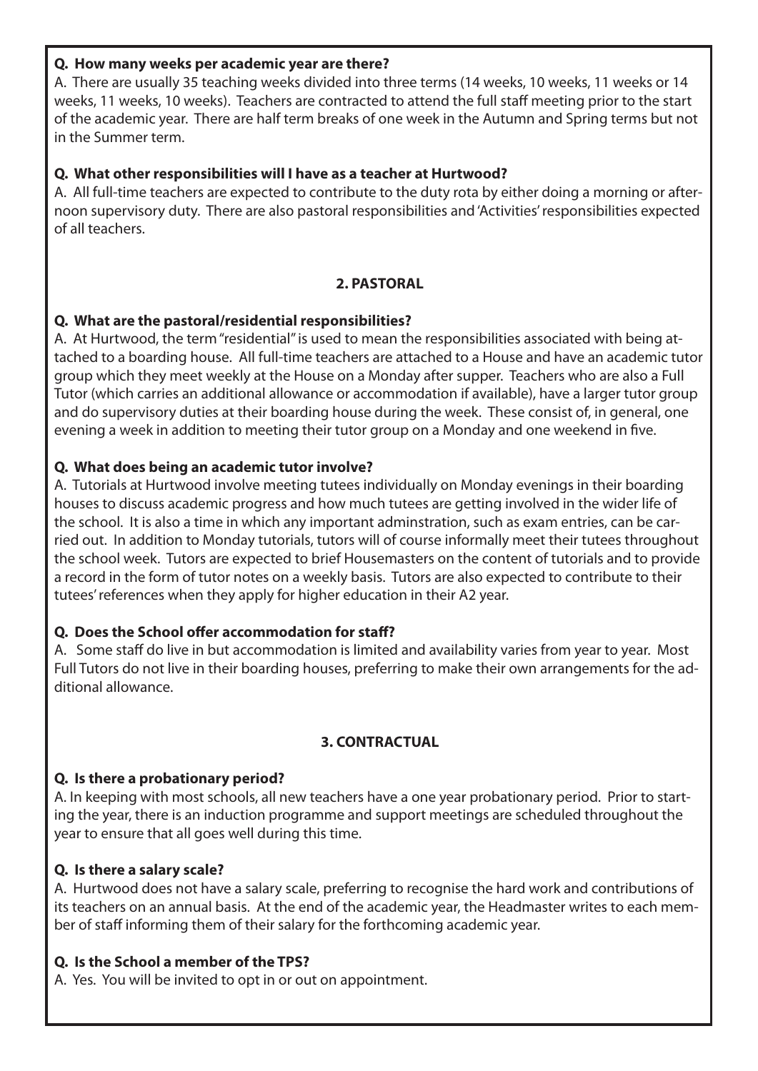#### **Q. How many weeks per academic year are there?**

A. There are usually 35 teaching weeks divided into three terms (14 weeks, 10 weeks, 11 weeks or 14 weeks, 11 weeks, 10 weeks). Teachers are contracted to attend the full staff meeting prior to the start of the academic year. There are half term breaks of one week in the Autumn and Spring terms but not in the Summer term.

### **Q. What other responsibilities will I have as a teacher at Hurtwood?**

A. All full-time teachers are expected to contribute to the duty rota by either doing a morning or afternoon supervisory duty. There are also pastoral responsibilities and 'Activities' responsibilities expected of all teachers.

#### **2. PASTORAL**

### **Q. What are the pastoral/residential responsibilities?**

A. At Hurtwood, the term "residential" is used to mean the responsibilities associated with being attached to a boarding house. All full-time teachers are attached to a House and have an academic tutor group which they meet weekly at the House on a Monday after supper. Teachers who are also a Full Tutor (which carries an additional allowance or accommodation if available), have a larger tutor group and do supervisory duties at their boarding house during the week. These consist of, in general, one evening a week in addition to meeting their tutor group on a Monday and one weekend in five.

### **Q. What does being an academic tutor involve?**

A. Tutorials at Hurtwood involve meeting tutees individually on Monday evenings in their boarding houses to discuss academic progress and how much tutees are getting involved in the wider life of the school. It is also a time in which any important adminstration, such as exam entries, can be carried out. In addition to Monday tutorials, tutors will of course informally meet their tutees throughout the school week. Tutors are expected to brief Housemasters on the content of tutorials and to provide a record in the form of tutor notes on a weekly basis. Tutors are also expected to contribute to their tutees' references when they apply for higher education in their A2 year.

### **Q. Does the School offer accommodation for staff?**

A. Some staff do live in but accommodation is limited and availability varies from year to year. Most Full Tutors do not live in their boarding houses, preferring to make their own arrangements for the additional allowance.

### **3. CONTRACTUAL**

### **Q. Is there a probationary period?**

A. In keeping with most schools, all new teachers have a one year probationary period. Prior to starting the year, there is an induction programme and support meetings are scheduled throughout the year to ensure that all goes well during this time.

### **Q. Is there a salary scale?**

A. Hurtwood does not have a salary scale, preferring to recognise the hard work and contributions of its teachers on an annual basis. At the end of the academic year, the Headmaster writes to each member of staff informing them of their salary for the forthcoming academic year.

### **Q. Is the School a member of the TPS?**

A. Yes. You will be invited to opt in or out on appointment.